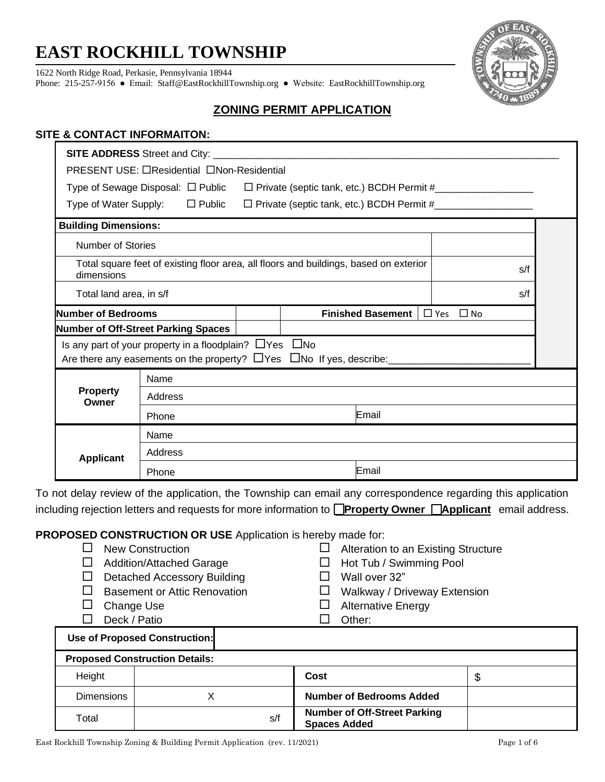# **EAST ROCKHILL TOWNSHIP**

1622 North Ridge Road, Perkasie, Pennsylvania 18944

Phone: 215-257-9156 ● Email: [Staff@EastRockhillTownship.org](mailto:Staff@EastRockhillTownship.org) ● Website: [EastRockhillTownship.org](http://www.eastrockhilltownship.org/)



## **ZONING PERMIT APPLICATION**

#### **SITE & CONTACT INFORMAITON:**

|                                                                                                     | SITE ADDRESS Street and City: __________   |  |                                                                                             |                      |  |
|-----------------------------------------------------------------------------------------------------|--------------------------------------------|--|---------------------------------------------------------------------------------------------|----------------------|--|
|                                                                                                     | PRESENT USE: □Residential □Non-Residential |  |                                                                                             |                      |  |
|                                                                                                     |                                            |  | Type of Sewage Disposal: □ Public □ Private (septic tank, etc.) BCDH Permit #______________ |                      |  |
|                                                                                                     | Type of Water Supply: □ Public             |  | □ Private (septic tank, etc.) BCDH Permit #                                                 |                      |  |
| <b>Building Dimensions:</b>                                                                         |                                            |  |                                                                                             |                      |  |
| <b>Number of Stories</b>                                                                            |                                            |  |                                                                                             |                      |  |
| Total square feet of existing floor area, all floors and buildings, based on exterior<br>dimensions |                                            |  | s/f                                                                                         |                      |  |
| Total land area, in s/f                                                                             |                                            |  |                                                                                             | s/f                  |  |
| Number of Bedrooms                                                                                  |                                            |  | <b>Finished Basement</b>                                                                    | $\Box$ Yes $\Box$ No |  |
|                                                                                                     | <b>Number of Off-Street Parking Spaces</b> |  |                                                                                             |                      |  |
| Is any part of your property in a floodplain? $\Box$ Yes $\Box$ No                                  |                                            |  |                                                                                             |                      |  |
| Name                                                                                                |                                            |  |                                                                                             |                      |  |
| <b>Property</b><br>Owner                                                                            | Address                                    |  |                                                                                             |                      |  |
|                                                                                                     | Email<br>Phone                             |  |                                                                                             |                      |  |
|                                                                                                     | Name                                       |  |                                                                                             |                      |  |
| <b>Applicant</b>                                                                                    | Address                                    |  |                                                                                             |                      |  |
|                                                                                                     | Phone                                      |  | Email                                                                                       |                      |  |

To not delay review of the application, the Township can email any correspondence regarding this application including rejection letters and requests for more information to **Property Owner Applicant** email address.

**PROPOSED CONSTRUCTION OR USE** Application is hereby made for:

|        | <b>New Construction</b><br>Alteration to an Existing Structure |  |      |                              |   |  |  |
|--------|----------------------------------------------------------------|--|------|------------------------------|---|--|--|
|        | <b>Addition/Attached Garage</b>                                |  |      | Hot Tub / Swimming Pool      |   |  |  |
|        | <b>Detached Accessory Building</b>                             |  |      | Wall over 32"                |   |  |  |
|        | <b>Basement or Attic Renovation</b>                            |  |      | Walkway / Driveway Extension |   |  |  |
|        | Change Use                                                     |  |      | <b>Alternative Energy</b>    |   |  |  |
|        | Deck / Patio                                                   |  |      | Other:                       |   |  |  |
|        | <b>Use of Proposed Construction:</b>                           |  |      |                              |   |  |  |
|        | <b>Proposed Construction Details:</b>                          |  |      |                              |   |  |  |
| Height |                                                                |  | Cost |                              | ¢ |  |  |

| Height            |     | Cost                                                       |  |
|-------------------|-----|------------------------------------------------------------|--|
| <b>Dimensions</b> |     | <b>Number of Bedrooms Added</b>                            |  |
| Total             | s/f | <b>Number of Off-Street Parking</b><br><b>Spaces Added</b> |  |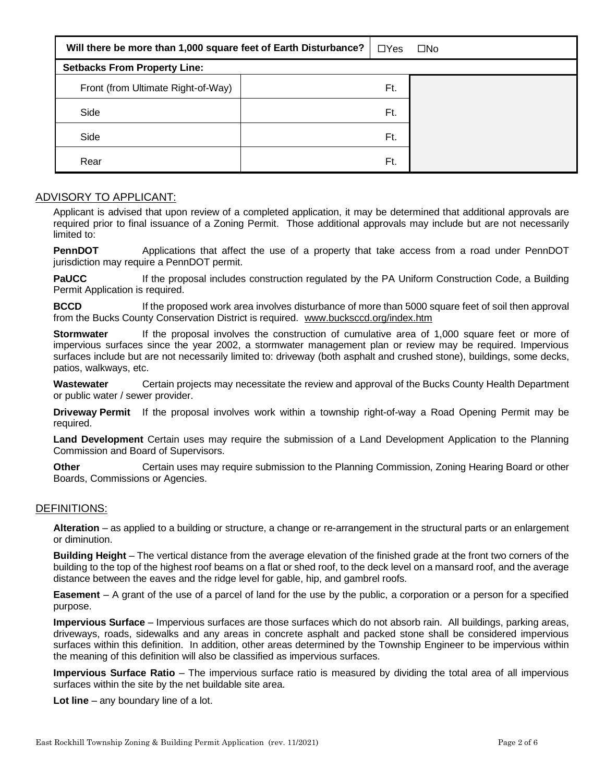| Will there be more than 1,000 square feet of Earth Disturbance? |  |     | $\square$ No |
|-----------------------------------------------------------------|--|-----|--------------|
| <b>Setbacks From Property Line:</b>                             |  |     |              |
| Front (from Ultimate Right-of-Way)                              |  | Ft. |              |
| Side                                                            |  | Ft. |              |
| Side                                                            |  | Ft. |              |
| Rear                                                            |  | Ft. |              |

#### ADVISORY TO APPLICANT:

Applicant is advised that upon review of a completed application, it may be determined that additional approvals are required prior to final issuance of a Zoning Permit. Those additional approvals may include but are not necessarily limited to:

**PennDOT** Applications that affect the use of a property that take access from a road under PennDOT jurisdiction may require a PennDOT permit.

**PaUCC** If the proposal includes construction regulated by the PA Uniform Construction Code, a Building Permit Application is required.

**BCCD** If the proposed work area involves disturbance of more than 5000 square feet of soil then approval from the Bucks County Conservation District is required. [www.bucksccd.org/index.htm](http://www.bucksccd.org/index.htm)

**Stormwater** If the proposal involves the construction of cumulative area of 1,000 square feet or more of impervious surfaces since the year 2002, a stormwater management plan or review may be required. Impervious surfaces include but are not necessarily limited to: driveway (both asphalt and crushed stone), buildings, some decks, patios, walkways, etc.

**Wastewater** Certain projects may necessitate the review and approval of the Bucks County Health Department or public water / sewer provider.

**Driveway Permit** If the proposal involves work within a township right-of-way a Road Opening Permit may be required.

**Land Development** Certain uses may require the submission of a Land Development Application to the Planning Commission and Board of Supervisors.

**Other Certain uses may require submission to the Planning Commission, Zoning Hearing Board or other** Boards, Commissions or Agencies.

#### DEFINITIONS:

**Alteration** – as applied to a building or structure, a change or re-arrangement in the structural parts or an enlargement or diminution.

**Building Height** – The vertical distance from the average elevation of the finished grade at the front two corners of the building to the top of the highest roof beams on a flat or shed roof, to the deck level on a mansard roof, and the average distance between the eaves and the ridge level for gable, hip, and gambrel roofs.

**Easement** – A grant of the use of a parcel of land for the use by the public, a corporation or a person for a specified purpose.

**Impervious Surface** – Impervious surfaces are those surfaces which do not absorb rain. All buildings, parking areas, driveways, roads, sidewalks and any areas in concrete asphalt and packed stone shall be considered impervious surfaces within this definition. In addition, other areas determined by the Township Engineer to be impervious within the meaning of this definition will also be classified as impervious surfaces.

**Impervious Surface Ratio** – The impervious surface ratio is measured by dividing the total area of all impervious surfaces within the site by the net buildable site area.

**Lot line** – any boundary line of a lot.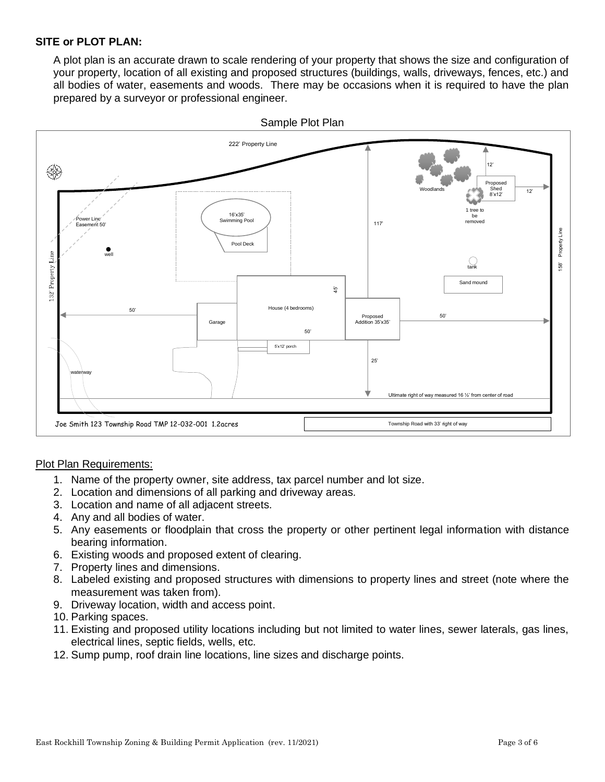#### **SITE or PLOT PLAN:**

A plot plan is an accurate drawn to scale rendering of your property that shows the size and configuration of your property, location of all existing and proposed structures (buildings, walls, driveways, fences, etc.) and all bodies of water, easements and woods. There may be occasions when it is required to have the plan prepared by a surveyor or professional engineer.



#### Plot Plan Requirements:

- 1. Name of the property owner, site address, tax parcel number and lot size.
- 2. Location and dimensions of all parking and driveway areas.
- 3. Location and name of all adjacent streets.
- 4. Any and all bodies of water.
- 5. Any easements or floodplain that cross the property or other pertinent legal information with distance bearing information.
- 6. Existing woods and proposed extent of clearing.
- 7. Property lines and dimensions.
- 8. Labeled existing and proposed structures with dimensions to property lines and street (note where the measurement was taken from).
- 9. Driveway location, width and access point.
- 10. Parking spaces.
- 11. Existing and proposed utility locations including but not limited to water lines, sewer laterals, gas lines, electrical lines, septic fields, wells, etc.
- 12. Sump pump, roof drain line locations, line sizes and discharge points.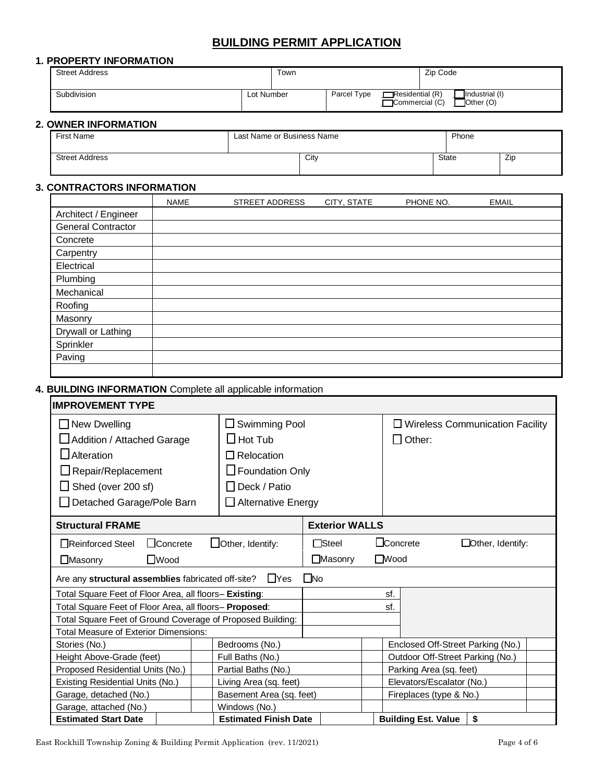## **BUILDING PERMIT APPLICATION**

#### **1. PROPERTY INFORMATION**

| <b>Street Address</b>       |            | Town |             |                                          | Zip Code                               |
|-----------------------------|------------|------|-------------|------------------------------------------|----------------------------------------|
| Subdivision                 | Lot Number |      | Parcel Type | $\Box$ Residential (R)<br>Commercial (C) | Industrial (I)<br>. <b>T</b> Other (O) |
| <b>2. OWNER INFORMATION</b> |            |      |             |                                          |                                        |

| First Name            | Last Name or Business Name | Phone |       |     |
|-----------------------|----------------------------|-------|-------|-----|
| <b>Street Address</b> | City                       |       | State | Zip |

## **3. CONTRACTORS INFORMATION**

|                           | <b>NAME</b> | <b>STREET ADDRESS</b> | CITY, STATE | PHONE NO. | <b>EMAIL</b> |
|---------------------------|-------------|-----------------------|-------------|-----------|--------------|
| Architect / Engineer      |             |                       |             |           |              |
| <b>General Contractor</b> |             |                       |             |           |              |
| Concrete                  |             |                       |             |           |              |
| Carpentry                 |             |                       |             |           |              |
| Electrical                |             |                       |             |           |              |
| Plumbing                  |             |                       |             |           |              |
| Mechanical                |             |                       |             |           |              |
| Roofing                   |             |                       |             |           |              |
| Masonry                   |             |                       |             |           |              |
| Drywall or Lathing        |             |                       |             |           |              |
| Sprinkler                 |             |                       |             |           |              |
| Paving                    |             |                       |             |           |              |
|                           |             |                       |             |           |              |

### **4. BUILDING INFORMATION** Complete all applicable information

| <b>IMPROVEMENT TYPE</b>                                                                                                                                       |                                                                                                                                         |                       |                                                         |  |
|---------------------------------------------------------------------------------------------------------------------------------------------------------------|-----------------------------------------------------------------------------------------------------------------------------------------|-----------------------|---------------------------------------------------------|--|
| $\Box$ New Dwelling<br>Addition / Attached Garage<br>$\Box$ Alteration<br>$\Box$ Repair/Replacement<br>$\Box$ Shed (over 200 sf)<br>Detached Garage/Pole Barn | $\Box$ Swimming Pool<br>$\square$ Hot Tub<br>$\Box$ Relocation<br>$\Box$ Foundation Only<br>  Deck / Patio<br>$\Box$ Alternative Energy |                       | $\Box$ Wireless Communication Facility<br>$\Box$ Other: |  |
| <b>Structural FRAME</b>                                                                                                                                       |                                                                                                                                         | <b>Exterior WALLS</b> |                                                         |  |
| $\Box$ Concrete<br>Reinforced Steel                                                                                                                           | $\Box$ Other, Identify:                                                                                                                 | $\Box$ Steel          | $\sqcup$ Concrete<br>$\Box$ Other, Identify:            |  |
| $\Box$ Wood<br>$\Box$ Masonry                                                                                                                                 |                                                                                                                                         | $\Box$ Masonry        | $\square$ Wood                                          |  |
| Are any structural assemblies fabricated off-site?                                                                                                            | $\Box$ Yes                                                                                                                              | $\Box$ No             |                                                         |  |
| Total Square Feet of Floor Area, all floors- Existing:                                                                                                        |                                                                                                                                         |                       | sf.                                                     |  |
| Total Square Feet of Floor Area, all floors- Proposed:                                                                                                        |                                                                                                                                         |                       | sf.                                                     |  |
| Total Square Feet of Ground Coverage of Proposed Building:                                                                                                    |                                                                                                                                         |                       |                                                         |  |
| <b>Total Measure of Exterior Dimensions:</b>                                                                                                                  |                                                                                                                                         |                       |                                                         |  |
| Stories (No.)                                                                                                                                                 | Bedrooms (No.)                                                                                                                          |                       | Enclosed Off-Street Parking (No.)                       |  |
| Height Above-Grade (feet)                                                                                                                                     | Full Baths (No.)                                                                                                                        |                       | Outdoor Off-Street Parking (No.)                        |  |
| Proposed Residential Units (No.)                                                                                                                              | Partial Baths (No.)                                                                                                                     |                       | Parking Area (sq. feet)                                 |  |
| Existing Residential Units (No.)                                                                                                                              | Living Area (sq. feet)                                                                                                                  |                       | Elevators/Escalator (No.)                               |  |
| Garage, detached (No.)                                                                                                                                        | Basement Area (sq. feet)                                                                                                                |                       | Fireplaces (type & No.)                                 |  |
| Garage, attached (No.)                                                                                                                                        | Windows (No.)                                                                                                                           |                       |                                                         |  |
| <b>Estimated Start Date</b>                                                                                                                                   | <b>Estimated Finish Date</b>                                                                                                            |                       | \$<br><b>Building Est. Value</b>                        |  |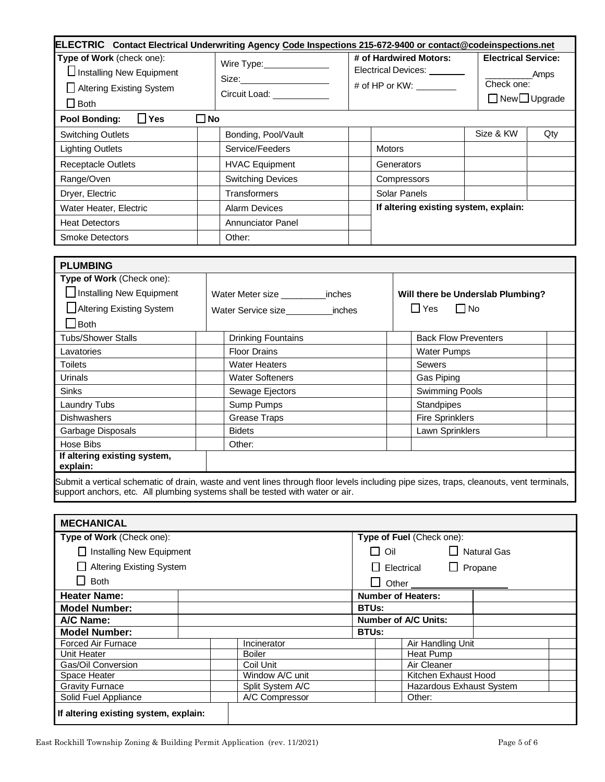| <b>ELECTRIC</b> Contact Electrical Underwriting Agency Code Inspections 215-672-9400 or contact@codeinspections.net |                                                             |                                                                                                                                                                                                                                                                                 |                                                                               |     |
|---------------------------------------------------------------------------------------------------------------------|-------------------------------------------------------------|---------------------------------------------------------------------------------------------------------------------------------------------------------------------------------------------------------------------------------------------------------------------------------|-------------------------------------------------------------------------------|-----|
| Type of Work (check one):<br>$\Box$ Installing New Equipment<br>Altering Existing System<br>$\Box$ Both             | Wire Type: ___________<br>Size:<br>Circuit Load: __________ | # of Hardwired Motors:<br>Electrical Devices:<br># of HP or KW: \\cdot \\cdot \\cdot \\cdot \\cdot \\cdot \\cdot \\cdot \\cdot \\cdot \\cdot \\cdot \\cdot \\cdot \\cdot \\cdot \\cdot \\cdot \\cdot \\cdot \\cdot \\cdot \\cdot \\cdot \\cdot \\cdot \\cdot \\cdot \\cdot \\cd | <b>Electrical Service:</b><br>Amps<br>Check one:<br>$\Box$ New $\Box$ Upgrade |     |
| $\square$ No<br>$\Box$ Yes<br>Pool Bonding:                                                                         |                                                             |                                                                                                                                                                                                                                                                                 |                                                                               |     |
| <b>Switching Outlets</b>                                                                                            | Bonding, Pool/Vault                                         |                                                                                                                                                                                                                                                                                 | Size & KW                                                                     | Qty |
| <b>Lighting Outlets</b>                                                                                             | Service/Feeders                                             | <b>Motors</b>                                                                                                                                                                                                                                                                   |                                                                               |     |
| <b>Receptacle Outlets</b>                                                                                           | <b>HVAC Equipment</b>                                       | Generators                                                                                                                                                                                                                                                                      |                                                                               |     |
| Range/Oven                                                                                                          | <b>Switching Devices</b>                                    | Compressors                                                                                                                                                                                                                                                                     |                                                                               |     |
| Dryer, Electric                                                                                                     | Transformers                                                | Solar Panels                                                                                                                                                                                                                                                                    |                                                                               |     |
| Water Heater, Electric                                                                                              | <b>Alarm Devices</b>                                        |                                                                                                                                                                                                                                                                                 | If altering existing system, explain:                                         |     |
| <b>Heat Detectors</b>                                                                                               | <b>Annunciator Panel</b>                                    |                                                                                                                                                                                                                                                                                 |                                                                               |     |
| <b>Smoke Detectors</b>                                                                                              | Other:                                                      |                                                                                                                                                                                                                                                                                 |                                                                               |     |

| <b>PLUMBING</b>                                                               |                                      |                                                                                                                                         |
|-------------------------------------------------------------------------------|--------------------------------------|-----------------------------------------------------------------------------------------------------------------------------------------|
| Type of Work (Check one):                                                     |                                      |                                                                                                                                         |
| Installing New Equipment                                                      | Water Meter size _________<br>inches | Will there be Underslab Plumbing?                                                                                                       |
| Altering Existing System                                                      | Water Service size<br>inches         | $\Box$ Yes<br>$\Box$ No                                                                                                                 |
| <b>Both</b>                                                                   |                                      |                                                                                                                                         |
| <b>Tubs/Shower Stalls</b>                                                     | <b>Drinking Fountains</b>            | <b>Back Flow Preventers</b>                                                                                                             |
| Lavatories                                                                    | <b>Floor Drains</b>                  | <b>Water Pumps</b>                                                                                                                      |
| <b>Toilets</b>                                                                | <b>Water Heaters</b>                 | <b>Sewers</b>                                                                                                                           |
| Urinals                                                                       | <b>Water Softeners</b>               | Gas Piping                                                                                                                              |
| <b>Sinks</b>                                                                  | Sewage Ejectors                      | Swimming Pools                                                                                                                          |
| Laundry Tubs                                                                  | Sump Pumps                           | Standpipes                                                                                                                              |
| <b>Dishwashers</b>                                                            | Grease Traps                         | <b>Fire Sprinklers</b>                                                                                                                  |
| Garbage Disposals                                                             | <b>Bidets</b>                        | Lawn Sprinklers                                                                                                                         |
| Hose Bibs                                                                     | Other:                               |                                                                                                                                         |
| If altering existing system,<br>explain:                                      |                                      |                                                                                                                                         |
| support anchors, etc. All plumbing systems shall be tested with water or air. |                                      | Submit a vertical schematic of drain, waste and vent lines through floor levels including pipe sizes, traps, cleanouts, vent terminals, |

| <b>MECHANICAL</b>                     |                  |                |                             |                              |                    |
|---------------------------------------|------------------|----------------|-----------------------------|------------------------------|--------------------|
| Type of Work (Check one):             |                  |                | Type of Fuel (Check one):   |                              |                    |
| □ Installing New Equipment            |                  |                | $\Box$ Oil                  |                              | $\Box$ Natural Gas |
| <b>Altering Existing System</b>       |                  |                |                             | $\Box$ Electrical<br>$\perp$ | Propane            |
| <b>Both</b>                           |                  |                | Other <sub>_____</sub>      |                              |                    |
| <b>Heater Name:</b>                   |                  |                |                             | <b>Number of Heaters:</b>    |                    |
| <b>Model Number:</b>                  |                  |                | <b>BTUs:</b>                |                              |                    |
| A/C Name:                             |                  |                | <b>Number of A/C Units:</b> |                              |                    |
| <b>Model Number:</b>                  |                  |                | <b>BTUs:</b>                |                              |                    |
| <b>Forced Air Furnace</b>             |                  | Incinerator    |                             | Air Handling Unit            |                    |
| Unit Heater                           |                  | <b>Boiler</b>  |                             | Heat Pump                    |                    |
| Gas/Oil Conversion                    |                  | Coil Unit      |                             | Air Cleaner                  |                    |
| Space Heater                          | Window A/C unit  |                |                             | Kitchen Exhaust Hood         |                    |
| <b>Gravity Furnace</b>                | Split System A/C |                | Hazardous Exhaust System    |                              |                    |
| Solid Fuel Appliance                  |                  | A/C Compressor |                             | Other:                       |                    |
| If altering existing system, explain: |                  |                |                             |                              |                    |